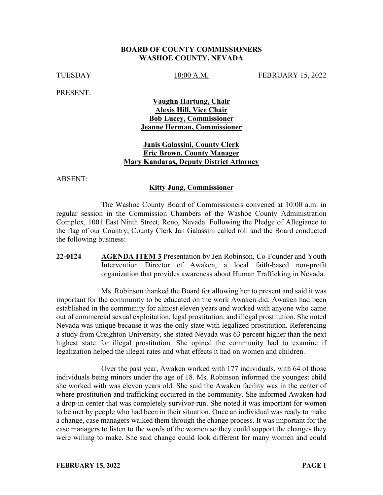#### **BOARD OF COUNTY COMMISSIONERS WASHOE COUNTY, NEVADA**

TUESDAY 15, 2022

PRESENT:

# **Vaughn Hartung, Chair Alexis Hill, Vice Chair Bob Lucey, Commissioner Jeanne Herman, Commissioner**

# **Janis Galassini, County Clerk Eric Brown, County Manager Mary Kandaras, Deputy District Attorney**

ABSENT:

#### **Kitty Jung, Commissioner**

The Washoe County Board of Commissioners convened at 10:00 a.m. in regular session in the Commission Chambers of the Washoe County Administration Complex, 1001 East Ninth Street, Reno, Nevada. Following the Pledge of Allegiance to the flag of our Country, County Clerk Jan Galassini called roll and the Board conducted the following business:

**22-0124 AGENDA ITEM 3** Presentation by Jen Robinson, Co-Founder and Youth Intervention Director of Awaken, a local faith-based non-profit organization that provides awareness about Human Trafficking in Nevada.

Ms. Robinson thanked the Board for allowing her to present and said it was important for the community to be educated on the work Awaken did. Awaken had been established in the community for almost eleven years and worked with anyone who came out of commercial sexual exploitation, legal prostitution, and illegal prostitution. She noted Nevada was unique because it was the only state with legalized prostitution. Referencing a study from Creighton University, she stated Nevada was 63 percent higher than the next highest state for illegal prostitution. She opined the community had to examine if legalization helped the illegal rates and what effects it had on women and children.

Over the past year, Awaken worked with 177 individuals, with 64 of those individuals being minors under the age of 18. Ms. Robinson informed the youngest child she worked with was eleven years old. She said the Awaken facility was in the center of where prostitution and trafficking occurred in the community. She informed Awaken had a drop-in center that was completely survivor-run. She noted it was important for women to be met by people who had been in their situation. Once an individual was ready to make a change, case managers walked them through the change process. It was important for the case managers to listen to the words of the women so they could support the changes they were willing to make. She said change could look different for many women and could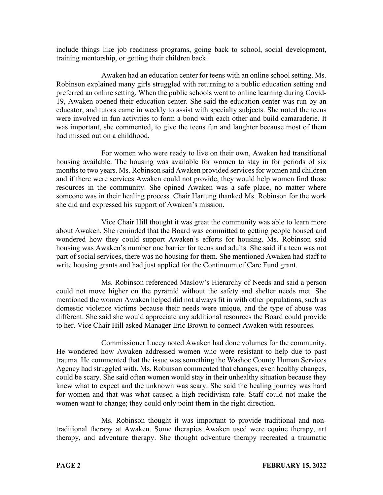include things like job readiness programs, going back to school, social development, training mentorship, or getting their children back.

Awaken had an education center for teens with an online school setting. Ms. Robinson explained many girls struggled with returning to a public education setting and preferred an online setting. When the public schools went to online learning during Covid-19, Awaken opened their education center. She said the education center was run by an educator, and tutors came in weekly to assist with specialty subjects. She noted the teens were involved in fun activities to form a bond with each other and build camaraderie. It was important, she commented, to give the teens fun and laughter because most of them had missed out on a childhood.

For women who were ready to live on their own, Awaken had transitional housing available. The housing was available for women to stay in for periods of six months to two years. Ms. Robinson said Awaken provided services for women and children and if there were services Awaken could not provide, they would help women find those resources in the community. She opined Awaken was a safe place, no matter where someone was in their healing process. Chair Hartung thanked Ms. Robinson for the work she did and expressed his support of Awaken's mission.

Vice Chair Hill thought it was great the community was able to learn more about Awaken. She reminded that the Board was committed to getting people housed and wondered how they could support Awaken's efforts for housing. Ms. Robinson said housing was Awaken's number one barrier for teens and adults. She said if a teen was not part of social services, there was no housing for them. She mentioned Awaken had staff to write housing grants and had just applied for the Continuum of Care Fund grant.

Ms. Robinson referenced Maslow's Hierarchy of Needs and said a person could not move higher on the pyramid without the safety and shelter needs met. She mentioned the women Awaken helped did not always fit in with other populations, such as domestic violence victims because their needs were unique, and the type of abuse was different. She said she would appreciate any additional resources the Board could provide to her. Vice Chair Hill asked Manager Eric Brown to connect Awaken with resources.

Commissioner Lucey noted Awaken had done volumes for the community. He wondered how Awaken addressed women who were resistant to help due to past trauma. He commented that the issue was something the Washoe County Human Services Agency had struggled with. Ms. Robinson commented that changes, even healthy changes, could be scary. She said often women would stay in their unhealthy situation because they knew what to expect and the unknown was scary. She said the healing journey was hard for women and that was what caused a high recidivism rate. Staff could not make the women want to change; they could only point them in the right direction.

Ms. Robinson thought it was important to provide traditional and nontraditional therapy at Awaken. Some therapies Awaken used were equine therapy, art therapy, and adventure therapy. She thought adventure therapy recreated a traumatic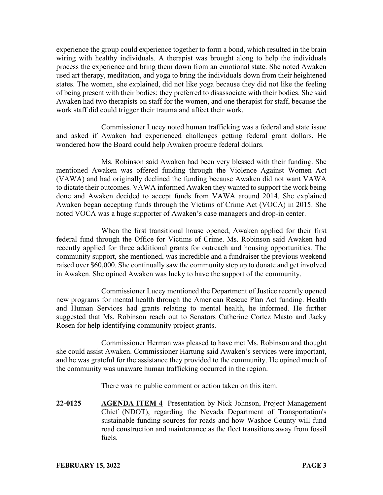experience the group could experience together to form a bond, which resulted in the brain wiring with healthy individuals. A therapist was brought along to help the individuals process the experience and bring them down from an emotional state. She noted Awaken used art therapy, meditation, and yoga to bring the individuals down from their heightened states. The women, she explained, did not like yoga because they did not like the feeling of being present with their bodies; they preferred to disassociate with their bodies. She said Awaken had two therapists on staff for the women, and one therapist for staff, because the work staff did could trigger their trauma and affect their work.

Commissioner Lucey noted human trafficking was a federal and state issue and asked if Awaken had experienced challenges getting federal grant dollars. He wondered how the Board could help Awaken procure federal dollars.

Ms. Robinson said Awaken had been very blessed with their funding. She mentioned Awaken was offered funding through the Violence Against Women Act (VAWA) and had originally declined the funding because Awaken did not want VAWA to dictate their outcomes. VAWA informed Awaken they wanted to support the work being done and Awaken decided to accept funds from VAWA around 2014. She explained Awaken began accepting funds through the Victims of Crime Act (VOCA) in 2015. She noted VOCA was a huge supporter of Awaken's case managers and drop-in center.

When the first transitional house opened, Awaken applied for their first federal fund through the Office for Victims of Crime. Ms. Robinson said Awaken had recently applied for three additional grants for outreach and housing opportunities. The community support, she mentioned, was incredible and a fundraiser the previous weekend raised over \$60,000. She continually saw the community step up to donate and get involved in Awaken. She opined Awaken was lucky to have the support of the community.

Commissioner Lucey mentioned the Department of Justice recently opened new programs for mental health through the American Rescue Plan Act funding. Health and Human Services had grants relating to mental health, he informed. He further suggested that Ms. Robinson reach out to Senators Catherine Cortez Masto and Jacky Rosen for help identifying community project grants.

Commissioner Herman was pleased to have met Ms. Robinson and thought she could assist Awaken. Commissioner Hartung said Awaken's services were important, and he was grateful for the assistance they provided to the community. He opined much of the community was unaware human trafficking occurred in the region.

There was no public comment or action taken on this item.

**22-0125 AGENDA ITEM 4** Presentation by Nick Johnson, Project Management Chief (NDOT), regarding the Nevada Department of Transportation's sustainable funding sources for roads and how Washoe County will fund road construction and maintenance as the fleet transitions away from fossil fuels.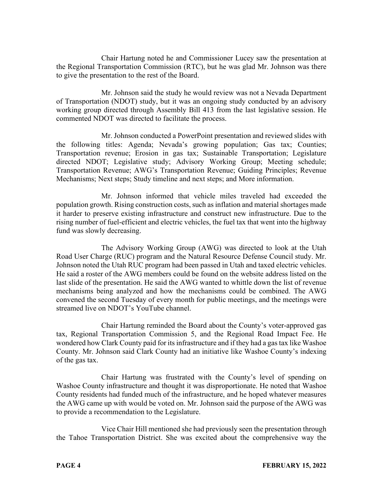Chair Hartung noted he and Commissioner Lucey saw the presentation at the Regional Transportation Commission (RTC), but he was glad Mr. Johnson was there to give the presentation to the rest of the Board.

Mr. Johnson said the study he would review was not a Nevada Department of Transportation (NDOT) study, but it was an ongoing study conducted by an advisory working group directed through Assembly Bill 413 from the last legislative session. He commented NDOT was directed to facilitate the process.

Mr. Johnson conducted a PowerPoint presentation and reviewed slides with the following titles: Agenda; Nevada's growing population; Gas tax; Counties; Transportation revenue; Erosion in gas tax; Sustainable Transportation; Legislature directed NDOT; Legislative study; Advisory Working Group; Meeting schedule; Transportation Revenue; AWG's Transportation Revenue; Guiding Principles; Revenue Mechanisms; Next steps; Study timeline and next steps; and More information.

Mr. Johnson informed that vehicle miles traveled had exceeded the population growth. Rising construction costs, such as inflation and material shortages made it harder to preserve existing infrastructure and construct new infrastructure. Due to the rising number of fuel-efficient and electric vehicles, the fuel tax that went into the highway fund was slowly decreasing.

The Advisory Working Group (AWG) was directed to look at the Utah Road User Charge (RUC) program and the Natural Resource Defense Council study. Mr. Johnson noted the Utah RUC program had been passed in Utah and taxed electric vehicles. He said a roster of the AWG members could be found on the website address listed on the last slide of the presentation. He said the AWG wanted to whittle down the list of revenue mechanisms being analyzed and how the mechanisms could be combined. The AWG convened the second Tuesday of every month for public meetings, and the meetings were streamed live on NDOT's YouTube channel.

Chair Hartung reminded the Board about the County's voter-approved gas tax, Regional Transportation Commission 5, and the Regional Road Impact Fee. He wondered how Clark County paid for its infrastructure and if they had a gas tax like Washoe County. Mr. Johnson said Clark County had an initiative like Washoe County's indexing of the gas tax.

Chair Hartung was frustrated with the County's level of spending on Washoe County infrastructure and thought it was disproportionate. He noted that Washoe County residents had funded much of the infrastructure, and he hoped whatever measures the AWG came up with would be voted on. Mr. Johnson said the purpose of the AWG was to provide a recommendation to the Legislature.

Vice Chair Hill mentioned she had previously seen the presentation through the Tahoe Transportation District. She was excited about the comprehensive way the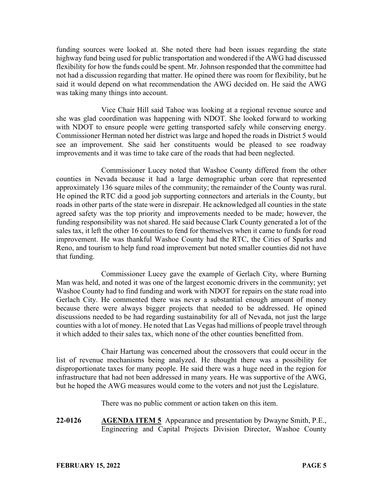funding sources were looked at. She noted there had been issues regarding the state highway fund being used for public transportation and wondered if the AWG had discussed flexibility for how the funds could be spent. Mr. Johnson responded that the committee had not had a discussion regarding that matter. He opined there was room for flexibility, but he said it would depend on what recommendation the AWG decided on. He said the AWG was taking many things into account.

Vice Chair Hill said Tahoe was looking at a regional revenue source and she was glad coordination was happening with NDOT. She looked forward to working with NDOT to ensure people were getting transported safely while conserving energy. Commissioner Herman noted her district was large and hoped the roads in District 5 would see an improvement. She said her constituents would be pleased to see roadway improvements and it was time to take care of the roads that had been neglected.

Commissioner Lucey noted that Washoe County differed from the other counties in Nevada because it had a large demographic urban core that represented approximately 136 square miles of the community; the remainder of the County was rural. He opined the RTC did a good job supporting connectors and arterials in the County, but roads in other parts of the state were in disrepair. He acknowledged all counties in the state agreed safety was the top priority and improvements needed to be made; however, the funding responsibility was not shared. He said because Clark County generated a lot of the sales tax, it left the other 16 counties to fend for themselves when it came to funds for road improvement. He was thankful Washoe County had the RTC, the Cities of Sparks and Reno, and tourism to help fund road improvement but noted smaller counties did not have that funding.

Commissioner Lucey gave the example of Gerlach City, where Burning Man was held, and noted it was one of the largest economic drivers in the community; yet Washoe County had to find funding and work with NDOT for repairs on the state road into Gerlach City. He commented there was never a substantial enough amount of money because there were always bigger projects that needed to be addressed. He opined discussions needed to be had regarding sustainability for all of Nevada, not just the large counties with a lot of money. He noted that Las Vegas had millions of people travel through it which added to their sales tax, which none of the other counties benefitted from.

Chair Hartung was concerned about the crossovers that could occur in the list of revenue mechanisms being analyzed. He thought there was a possibility for disproportionate taxes for many people. He said there was a huge need in the region for infrastructure that had not been addressed in many years. He was supportive of the AWG, but he hoped the AWG measures would come to the voters and not just the Legislature.

There was no public comment or action taken on this item.

**22-0126 AGENDA ITEM 5** Appearance and presentation by Dwayne Smith, P.E., Engineering and Capital Projects Division Director, Washoe County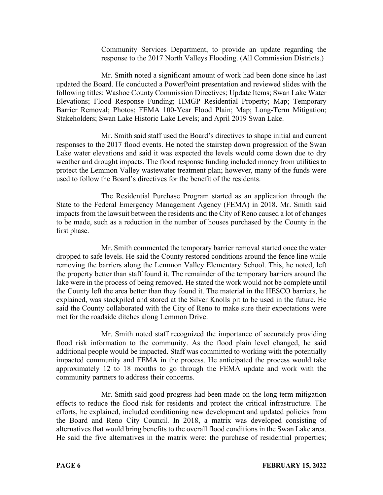Community Services Department, to provide an update regarding the response to the 2017 North Valleys Flooding. (All Commission Districts.)

Mr. Smith noted a significant amount of work had been done since he last updated the Board. He conducted a PowerPoint presentation and reviewed slides with the following titles: Washoe County Commission Directives; Update Items; Swan Lake Water Elevations; Flood Response Funding; HMGP Residential Property; Map; Temporary Barrier Removal; Photos; FEMA 100-Year Flood Plain; Map; Long-Term Mitigation; Stakeholders; Swan Lake Historic Lake Levels; and April 2019 Swan Lake.

Mr. Smith said staff used the Board's directives to shape initial and current responses to the 2017 flood events. He noted the stairstep down progression of the Swan Lake water elevations and said it was expected the levels would come down due to dry weather and drought impacts. The flood response funding included money from utilities to protect the Lemmon Valley wastewater treatment plan; however, many of the funds were used to follow the Board's directives for the benefit of the residents.

The Residential Purchase Program started as an application through the State to the Federal Emergency Management Agency (FEMA) in 2018. Mr. Smith said impacts from the lawsuit between the residents and the City of Reno caused a lot of changes to be made, such as a reduction in the number of houses purchased by the County in the first phase.

Mr. Smith commented the temporary barrier removal started once the water dropped to safe levels. He said the County restored conditions around the fence line while removing the barriers along the Lemmon Valley Elementary School. This, he noted, left the property better than staff found it. The remainder of the temporary barriers around the lake were in the process of being removed. He stated the work would not be complete until the County left the area better than they found it. The material in the HESCO barriers, he explained, was stockpiled and stored at the Silver Knolls pit to be used in the future. He said the County collaborated with the City of Reno to make sure their expectations were met for the roadside ditches along Lemmon Drive.

Mr. Smith noted staff recognized the importance of accurately providing flood risk information to the community. As the flood plain level changed, he said additional people would be impacted. Staff was committed to working with the potentially impacted community and FEMA in the process. He anticipated the process would take approximately 12 to 18 months to go through the FEMA update and work with the community partners to address their concerns.

Mr. Smith said good progress had been made on the long-term mitigation effects to reduce the flood risk for residents and protect the critical infrastructure. The efforts, he explained, included conditioning new development and updated policies from the Board and Reno City Council. In 2018, a matrix was developed consisting of alternatives that would bring benefits to the overall flood conditions in the Swan Lake area. He said the five alternatives in the matrix were: the purchase of residential properties;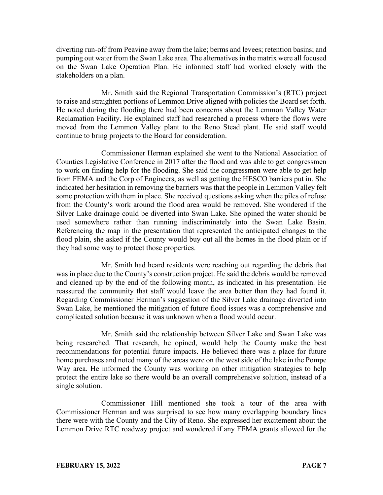diverting run-off from Peavine away from the lake; berms and levees; retention basins; and pumping out water from the Swan Lake area. The alternatives in the matrix were all focused on the Swan Lake Operation Plan. He informed staff had worked closely with the stakeholders on a plan.

Mr. Smith said the Regional Transportation Commission's (RTC) project to raise and straighten portions of Lemmon Drive aligned with policies the Board set forth. He noted during the flooding there had been concerns about the Lemmon Valley Water Reclamation Facility. He explained staff had researched a process where the flows were moved from the Lemmon Valley plant to the Reno Stead plant. He said staff would continue to bring projects to the Board for consideration.

Commissioner Herman explained she went to the National Association of Counties Legislative Conference in 2017 after the flood and was able to get congressmen to work on finding help for the flooding. She said the congressmen were able to get help from FEMA and the Corp of Engineers, as well as getting the HESCO barriers put in. She indicated her hesitation in removing the barriers was that the people in Lemmon Valley felt some protection with them in place. She received questions asking when the piles of refuse from the County's work around the flood area would be removed. She wondered if the Silver Lake drainage could be diverted into Swan Lake. She opined the water should be used somewhere rather than running indiscriminately into the Swan Lake Basin. Referencing the map in the presentation that represented the anticipated changes to the flood plain, she asked if the County would buy out all the homes in the flood plain or if they had some way to protect those properties.

Mr. Smith had heard residents were reaching out regarding the debris that was in place due to the County's construction project. He said the debris would be removed and cleaned up by the end of the following month, as indicated in his presentation. He reassured the community that staff would leave the area better than they had found it. Regarding Commissioner Herman's suggestion of the Silver Lake drainage diverted into Swan Lake, he mentioned the mitigation of future flood issues was a comprehensive and complicated solution because it was unknown when a flood would occur.

Mr. Smith said the relationship between Silver Lake and Swan Lake was being researched. That research, he opined, would help the County make the best recommendations for potential future impacts. He believed there was a place for future home purchases and noted many of the areas were on the west side of the lake in the Pompe Way area. He informed the County was working on other mitigation strategies to help protect the entire lake so there would be an overall comprehensive solution, instead of a single solution.

Commissioner Hill mentioned she took a tour of the area with Commissioner Herman and was surprised to see how many overlapping boundary lines there were with the County and the City of Reno. She expressed her excitement about the Lemmon Drive RTC roadway project and wondered if any FEMA grants allowed for the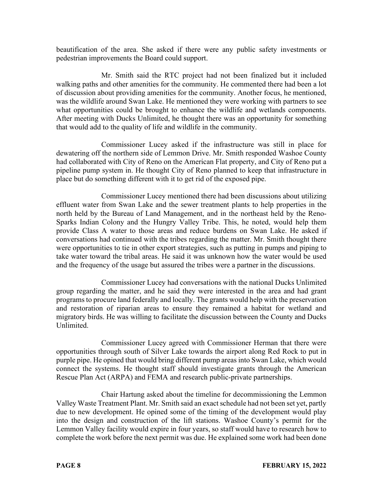beautification of the area. She asked if there were any public safety investments or pedestrian improvements the Board could support.

Mr. Smith said the RTC project had not been finalized but it included walking paths and other amenities for the community. He commented there had been a lot of discussion about providing amenities for the community. Another focus, he mentioned, was the wildlife around Swan Lake. He mentioned they were working with partners to see what opportunities could be brought to enhance the wildlife and wetlands components. After meeting with Ducks Unlimited, he thought there was an opportunity for something that would add to the quality of life and wildlife in the community.

Commissioner Lucey asked if the infrastructure was still in place for dewatering off the northern side of Lemmon Drive. Mr. Smith responded Washoe County had collaborated with City of Reno on the American Flat property, and City of Reno put a pipeline pump system in. He thought City of Reno planned to keep that infrastructure in place but do something different with it to get rid of the exposed pipe.

Commissioner Lucey mentioned there had been discussions about utilizing effluent water from Swan Lake and the sewer treatment plants to help properties in the north held by the Bureau of Land Management, and in the northeast held by the Reno-Sparks Indian Colony and the Hungry Valley Tribe. This, he noted, would help them provide Class A water to those areas and reduce burdens on Swan Lake. He asked if conversations had continued with the tribes regarding the matter. Mr. Smith thought there were opportunities to tie in other export strategies, such as putting in pumps and piping to take water toward the tribal areas. He said it was unknown how the water would be used and the frequency of the usage but assured the tribes were a partner in the discussions.

Commissioner Lucey had conversations with the national Ducks Unlimited group regarding the matter, and he said they were interested in the area and had grant programs to procure land federally and locally. The grants would help with the preservation and restoration of riparian areas to ensure they remained a habitat for wetland and migratory birds. He was willing to facilitate the discussion between the County and Ducks Unlimited.

Commissioner Lucey agreed with Commissioner Herman that there were opportunities through south of Silver Lake towards the airport along Red Rock to put in purple pipe. He opined that would bring different pump areas into Swan Lake, which would connect the systems. He thought staff should investigate grants through the American Rescue Plan Act (ARPA) and FEMA and research public-private partnerships.

Chair Hartung asked about the timeline for decommissioning the Lemmon Valley Waste Treatment Plant. Mr. Smith said an exact schedule had not been set yet, partly due to new development. He opined some of the timing of the development would play into the design and construction of the lift stations. Washoe County's permit for the Lemmon Valley facility would expire in four years, so staff would have to research how to complete the work before the next permit was due. He explained some work had been done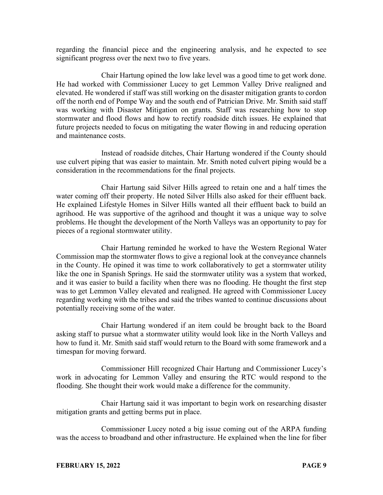regarding the financial piece and the engineering analysis, and he expected to see significant progress over the next two to five years.

Chair Hartung opined the low lake level was a good time to get work done. He had worked with Commissioner Lucey to get Lemmon Valley Drive realigned and elevated. He wondered if staff was still working on the disaster mitigation grants to cordon off the north end of Pompe Way and the south end of Patrician Drive. Mr. Smith said staff was working with Disaster Mitigation on grants. Staff was researching how to stop stormwater and flood flows and how to rectify roadside ditch issues. He explained that future projects needed to focus on mitigating the water flowing in and reducing operation and maintenance costs.

Instead of roadside ditches, Chair Hartung wondered if the County should use culvert piping that was easier to maintain. Mr. Smith noted culvert piping would be a consideration in the recommendations for the final projects.

Chair Hartung said Silver Hills agreed to retain one and a half times the water coming off their property. He noted Silver Hills also asked for their effluent back. He explained Lifestyle Homes in Silver Hills wanted all their effluent back to build an agrihood. He was supportive of the agrihood and thought it was a unique way to solve problems. He thought the development of the North Valleys was an opportunity to pay for pieces of a regional stormwater utility.

Chair Hartung reminded he worked to have the Western Regional Water Commission map the stormwater flows to give a regional look at the conveyance channels in the County. He opined it was time to work collaboratively to get a stormwater utility like the one in Spanish Springs. He said the stormwater utility was a system that worked, and it was easier to build a facility when there was no flooding. He thought the first step was to get Lemmon Valley elevated and realigned. He agreed with Commissioner Lucey regarding working with the tribes and said the tribes wanted to continue discussions about potentially receiving some of the water.

Chair Hartung wondered if an item could be brought back to the Board asking staff to pursue what a stormwater utility would look like in the North Valleys and how to fund it. Mr. Smith said staff would return to the Board with some framework and a timespan for moving forward.

Commissioner Hill recognized Chair Hartung and Commissioner Lucey's work in advocating for Lemmon Valley and ensuring the RTC would respond to the flooding. She thought their work would make a difference for the community.

Chair Hartung said it was important to begin work on researching disaster mitigation grants and getting berms put in place.

Commissioner Lucey noted a big issue coming out of the ARPA funding was the access to broadband and other infrastructure. He explained when the line for fiber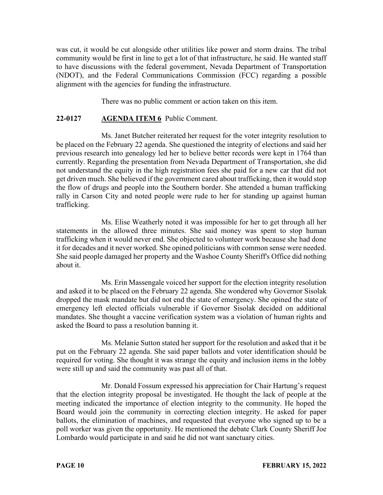was cut, it would be cut alongside other utilities like power and storm drains. The tribal community would be first in line to get a lot of that infrastructure, he said. He wanted staff to have discussions with the federal government, Nevada Department of Transportation (NDOT), and the Federal Communications Commission (FCC) regarding a possible alignment with the agencies for funding the infrastructure.

There was no public comment or action taken on this item.

# **22-0127 AGENDA ITEM 6** Public Comment.

Ms. Janet Butcher reiterated her request for the voter integrity resolution to be placed on the February 22 agenda. She questioned the integrity of elections and said her previous research into genealogy led her to believe better records were kept in 1764 than currently. Regarding the presentation from Nevada Department of Transportation, she did not understand the equity in the high registration fees she paid for a new car that did not get driven much. She believed if the government cared about trafficking, then it would stop the flow of drugs and people into the Southern border. She attended a human trafficking rally in Carson City and noted people were rude to her for standing up against human trafficking.

Ms. Elise Weatherly noted it was impossible for her to get through all her statements in the allowed three minutes. She said money was spent to stop human trafficking when it would never end. She objected to volunteer work because she had done it for decades and it never worked. She opined politicians with common sense were needed. She said people damaged her property and the Washoe County Sheriff's Office did nothing about it.

Ms. Erin Massengale voiced her support for the election integrity resolution and asked it to be placed on the February 22 agenda. She wondered why Governor Sisolak dropped the mask mandate but did not end the state of emergency. She opined the state of emergency left elected officials vulnerable if Governor Sisolak decided on additional mandates. She thought a vaccine verification system was a violation of human rights and asked the Board to pass a resolution banning it.

Ms. Melanie Sutton stated her support for the resolution and asked that it be put on the February 22 agenda. She said paper ballots and voter identification should be required for voting. She thought it was strange the equity and inclusion items in the lobby were still up and said the community was past all of that.

Mr. Donald Fossum expressed his appreciation for Chair Hartung's request that the election integrity proposal be investigated. He thought the lack of people at the meeting indicated the importance of election integrity to the community. He hoped the Board would join the community in correcting election integrity. He asked for paper ballots, the elimination of machines, and requested that everyone who signed up to be a poll worker was given the opportunity. He mentioned the debate Clark County Sheriff Joe Lombardo would participate in and said he did not want sanctuary cities.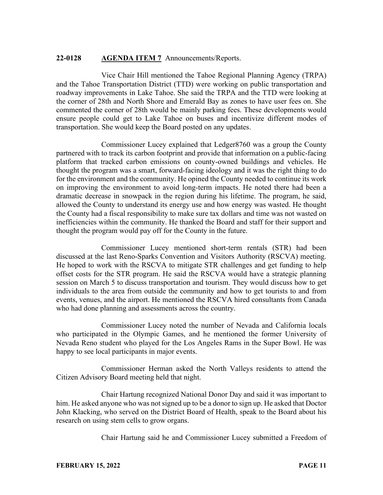### **22-0128 AGENDA ITEM 7** Announcements/Reports.

Vice Chair Hill mentioned the Tahoe Regional Planning Agency (TRPA) and the Tahoe Transportation District (TTD) were working on public transportation and roadway improvements in Lake Tahoe. She said the TRPA and the TTD were looking at the corner of 28th and North Shore and Emerald Bay as zones to have user fees on. She commented the corner of 28th would be mainly parking fees. These developments would ensure people could get to Lake Tahoe on buses and incentivize different modes of transportation. She would keep the Board posted on any updates.

Commissioner Lucey explained that Ledger8760 was a group the County partnered with to track its carbon footprint and provide that information on a public-facing platform that tracked carbon emissions on county-owned buildings and vehicles. He thought the program was a smart, forward-facing ideology and it was the right thing to do for the environment and the community. He opined the County needed to continue its work on improving the environment to avoid long-term impacts. He noted there had been a dramatic decrease in snowpack in the region during his lifetime. The program, he said, allowed the County to understand its energy use and how energy was wasted. He thought the County had a fiscal responsibility to make sure tax dollars and time was not wasted on inefficiencies within the community. He thanked the Board and staff for their support and thought the program would pay off for the County in the future.

Commissioner Lucey mentioned short-term rentals (STR) had been discussed at the last Reno-Sparks Convention and Visitors Authority (RSCVA) meeting. He hoped to work with the RSCVA to mitigate STR challenges and get funding to help offset costs for the STR program. He said the RSCVA would have a strategic planning session on March 5 to discuss transportation and tourism. They would discuss how to get individuals to the area from outside the community and how to get tourists to and from events, venues, and the airport. He mentioned the RSCVA hired consultants from Canada who had done planning and assessments across the country.

Commissioner Lucey noted the number of Nevada and California locals who participated in the Olympic Games, and he mentioned the former University of Nevada Reno student who played for the Los Angeles Rams in the Super Bowl. He was happy to see local participants in major events.

Commissioner Herman asked the North Valleys residents to attend the Citizen Advisory Board meeting held that night.

Chair Hartung recognized National Donor Day and said it was important to him. He asked anyone who was not signed up to be a donor to sign up. He asked that Doctor John Klacking, who served on the District Board of Health, speak to the Board about his research on using stem cells to grow organs.

Chair Hartung said he and Commissioner Lucey submitted a Freedom of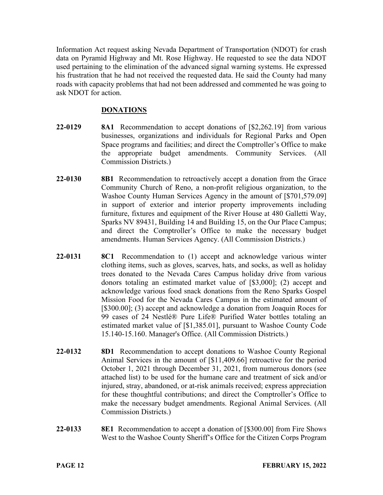Information Act request asking Nevada Department of Transportation (NDOT) for crash data on Pyramid Highway and Mt. Rose Highway. He requested to see the data NDOT used pertaining to the elimination of the advanced signal warning systems. He expressed his frustration that he had not received the requested data. He said the County had many roads with capacity problems that had not been addressed and commented he was going to ask NDOT for action.

# **DONATIONS**

- **22-0129 8A1** Recommendation to accept donations of [\$2,262.19] from various businesses, organizations and individuals for Regional Parks and Open Space programs and facilities; and direct the Comptroller's Office to make the appropriate budget amendments. Community Services. (All Commission Districts.)
- **22-0130 8B1** Recommendation to retroactively accept a donation from the Grace Community Church of Reno, a non-profit religious organization, to the Washoe County Human Services Agency in the amount of [\$701,579.09] in support of exterior and interior property improvements including furniture, fixtures and equipment of the River House at 480 Galletti Way, Sparks NV 89431, Building 14 and Building 15, on the Our Place Campus; and direct the Comptroller's Office to make the necessary budget amendments. Human Services Agency. (All Commission Districts.)
- **22-0131 8C1** Recommendation to (1) accept and acknowledge various winter clothing items, such as gloves, scarves, hats, and socks, as well as holiday trees donated to the Nevada Cares Campus holiday drive from various donors totaling an estimated market value of [\$3,000]; (2) accept and acknowledge various food snack donations from the Reno Sparks Gospel Mission Food for the Nevada Cares Campus in the estimated amount of [\$300.00]; (3) accept and acknowledge a donation from Joaquin Roces for 99 cases of 24 Nestlé® Pure Life® Purified Water bottles totaling an estimated market value of [\$1,385.01], pursuant to Washoe County Code 15.140-15.160. Manager's Office. (All Commission Districts.)
- **22-0132 8D1** Recommendation to accept donations to Washoe County Regional Animal Services in the amount of [\$11,409.66] retroactive for the period October 1, 2021 through December 31, 2021, from numerous donors (see attached list) to be used for the humane care and treatment of sick and/or injured, stray, abandoned, or at-risk animals received; express appreciation for these thoughtful contributions; and direct the Comptroller's Office to make the necessary budget amendments. Regional Animal Services. (All Commission Districts.)
- **22-0133 8E1** Recommendation to accept a donation of [\$300.00] from Fire Shows West to the Washoe County Sheriff's Office for the Citizen Corps Program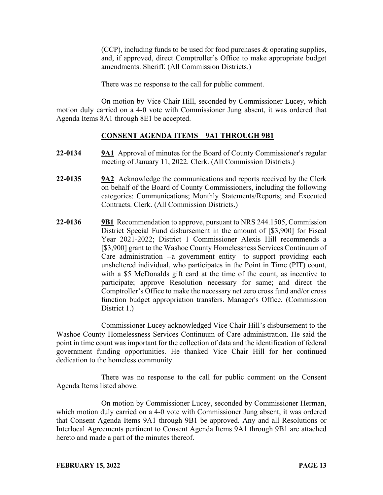(CCP), including funds to be used for food purchases & operating supplies, and, if approved, direct Comptroller's Office to make appropriate budget amendments. Sheriff. (All Commission Districts.)

There was no response to the call for public comment.

On motion by Vice Chair Hill, seconded by Commissioner Lucey, which motion duly carried on a 4-0 vote with Commissioner Jung absent, it was ordered that Agenda Items 8A1 through 8E1 be accepted.

# **CONSENT AGENDA ITEMS** – **9A1 THROUGH 9B1**

- **22-0134 9A1** Approval of minutes for the Board of County Commissioner's regular meeting of January 11, 2022. Clerk. (All Commission Districts.)
- **22-0135 9A2** Acknowledge the communications and reports received by the Clerk on behalf of the Board of County Commissioners, including the following categories: Communications; Monthly Statements/Reports; and Executed Contracts. Clerk. (All Commission Districts.)
- **22-0136 9B1** Recommendation to approve, pursuant to NRS 244.1505, Commission District Special Fund disbursement in the amount of [\$3,900] for Fiscal Year 2021-2022; District 1 Commissioner Alexis Hill recommends a [\$3,900] grant to the Washoe County Homelessness Services Continuum of Care administration --a government entity—to support providing each unsheltered individual, who participates in the Point in Time (PIT) count, with a \$5 McDonalds gift card at the time of the count, as incentive to participate; approve Resolution necessary for same; and direct the Comptroller's Office to make the necessary net zero cross fund and/or cross function budget appropriation transfers. Manager's Office. (Commission District 1.)

Commissioner Lucey acknowledged Vice Chair Hill's disbursement to the Washoe County Homelessness Services Continuum of Care administration. He said the point in time count was important for the collection of data and the identification of federal government funding opportunities. He thanked Vice Chair Hill for her continued dedication to the homeless community.

There was no response to the call for public comment on the Consent Agenda Items listed above.

On motion by Commissioner Lucey, seconded by Commissioner Herman, which motion duly carried on a 4-0 vote with Commissioner Jung absent, it was ordered that Consent Agenda Items 9A1 through 9B1 be approved. Any and all Resolutions or Interlocal Agreements pertinent to Consent Agenda Items 9A1 through 9B1 are attached hereto and made a part of the minutes thereof.